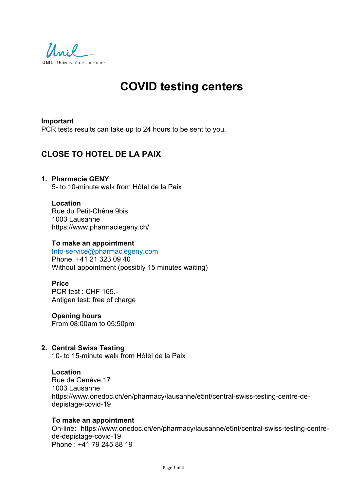

# **COVID testing centers**

# **Important**

PCR tests results can take up to 24 hours to be sent to you.

# **CLOSE TO HOTEL DE LA PAIX**

#### **1. Pharmacie GENY**

5- to 10-minute walk from Hôtel de la Paix

# **Location**

Rue du Petit-Chêne 9bis 1003 Lausanne https://www.pharmaciegeny.ch/

#### **To make an appointment**

Info-service@pharmaciegeny.com Phone: +41 21 323 09 40 Without appointment (possibly 15 minutes waiting)

#### **Price**

PCR test : CHF 165.- Antigen test: free of charge

**Opening hours** From 08:00am to 05:50pm

# **2. Central Swiss Testing**

10- to 15-minute walk from Hôtel de la Paix

#### **Location**

Rue de Genève 17 1003 Lausanne https://www.onedoc.ch/en/pharmacy/lausanne/e5nt/central-swiss-testing-centre-dedepistage-covid-19

#### **To make an appointment**

On-line: https://www.onedoc.ch/en/pharmacy/lausanne/e5nt/central-swiss-testing-centrede-depistage-covid-19 Phone : +41 79 245 88 19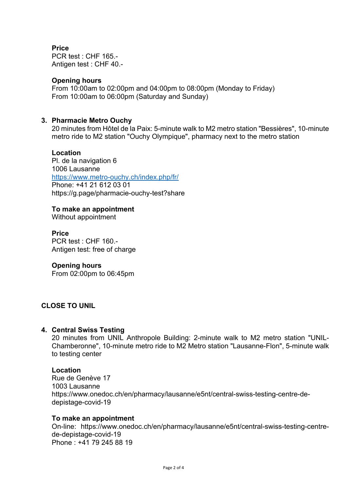**Price** PCR test : CHF 165.- Antigen test : CHF 40.-

# **Opening hours**

From 10:00am to 02:00pm and 04:00pm to 08:00pm (Monday to Friday) From 10:00am to 06:00pm (Saturday and Sunday)

# **3. Pharmacie Metro Ouchy**

20 minutes from Hôtel de la Paix: 5-minute walk to M2 metro station "Bessières", 10-minute metro ride to M2 station "Ouchy Olympique", pharmacy next to the metro station

#### **Location**

Pl. de la navigation 6 1006 Lausanne https://www.metro-ouchy.ch/index.php/fr/ Phone: +41 21 612 03 01 https://g.page/pharmacie-ouchy-test?share

**To make an appointment**

Without appointment

**Price** PCR test : CHF 160.- Antigen test: free of charge

#### **Opening hours**

From 02:00pm to 06:45pm

# **CLOSE TO UNIL**

#### **4. Central Swiss Testing**

20 minutes from UNIL Anthropole Building: 2-minute walk to M2 metro station "UNIL-Chamberonne", 10-minute metro ride to M2 Metro station "Lausanne-Flon", 5-minute walk to testing center

#### **Location**

Rue de Genève 17 1003 Lausanne https://www.onedoc.ch/en/pharmacy/lausanne/e5nt/central-swiss-testing-centre-dedepistage-covid-19

#### **To make an appointment**

On-line: https://www.onedoc.ch/en/pharmacy/lausanne/e5nt/central-swiss-testing-centrede-depistage-covid-19 Phone : +41 79 245 88 19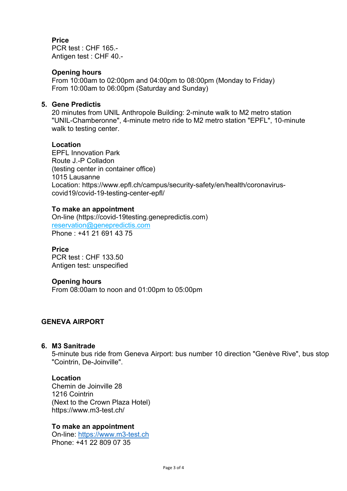**Price**

PCR test : CHF 165.- Antigen test : CHF 40.-

#### **Opening hours**

From 10:00am to 02:00pm and 04:00pm to 08:00pm (Monday to Friday) From 10:00am to 06:00pm (Saturday and Sunday)

#### **5. Gene Predictis**

20 minutes from UNIL Anthropole Building: 2-minute walk to M2 metro station "UNIL-Chamberonne", 4-minute metro ride to M2 metro station "EPFL", 10-minute walk to testing center.

#### **Location**

EPFL Innovation Park Route J.-P Colladon (testing center in container office) 1015 Lausanne Location: https://www.epfl.ch/campus/security-safety/en/health/coronaviruscovid19/covid-19-testing-center-epfl/

#### **To make an appointment**

On-line (https://covid-19testing.genepredictis.com) reservation@genepredictis.com Phone : +41 21 691 43 75

#### **Price**

PCR test : CHF 133.50 Antigen test: unspecified

#### **Opening hours**

From 08:00am to noon and 01:00pm to 05:00pm

# **GENEVA AIRPORT**

#### **6. M3 Sanitrade**

5-minute bus ride from Geneva Airport: bus number 10 direction "Genève Rive", bus stop "Cointrin, De-Joinville".

#### **Location**

Chemin de Joinville 28 1216 Cointrin (Next to the Crown Plaza Hotel) https://www.m3-test.ch/

# **To make an appointment**

On-line: https://www.m3-test.ch Phone: +41 22 809 07 35